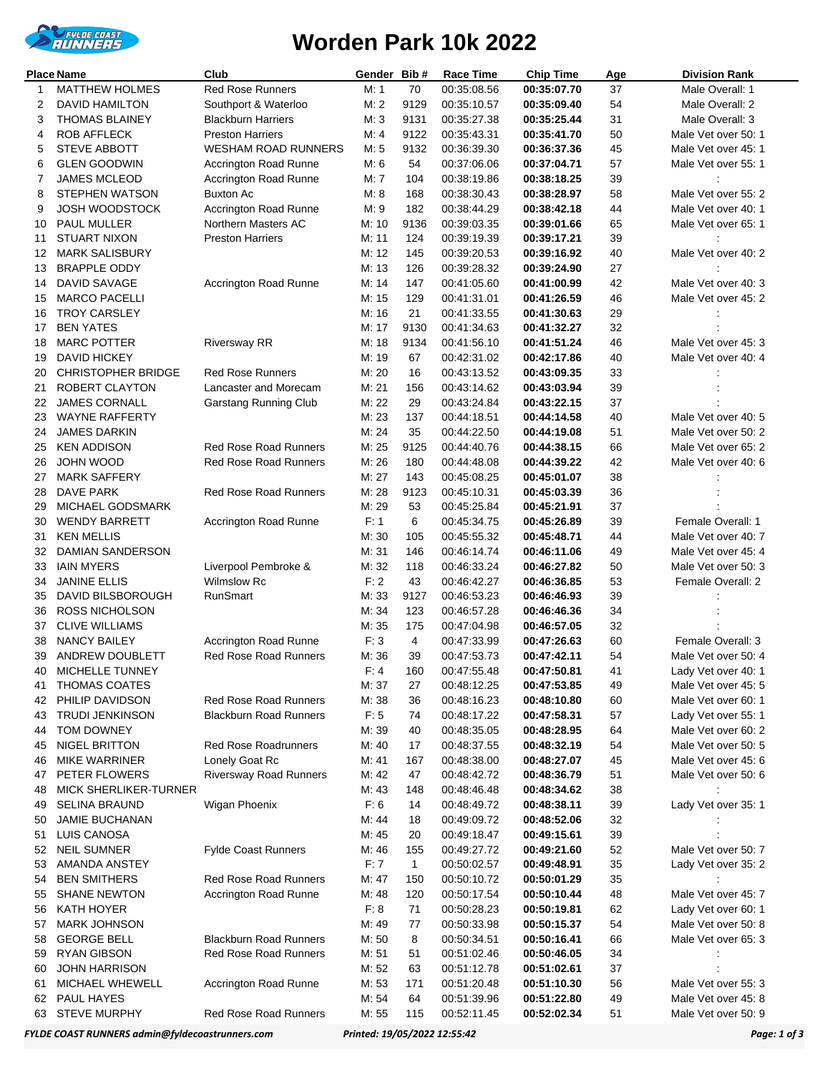

## **Worden Park 10k 2022**

| Place Name<br>Club |                                        |                                                       | Gender Bib#   |              | Race Time                  | <b>Chip Time</b>           | Age      | Division Rank                            |
|--------------------|----------------------------------------|-------------------------------------------------------|---------------|--------------|----------------------------|----------------------------|----------|------------------------------------------|
| 1                  | <b>MATTHEW HOLMES</b>                  | Red Rose Runners                                      | M: 1          | 70           | 00:35:08.56                | 00:35:07.70                | 37       | Male Overall: 1                          |
| 2                  | <b>DAVID HAMILTON</b>                  | Southport & Waterloo                                  | M: 2          | 9129         | 00:35:10.57                | 00:35:09.40                | 54       | Male Overall: 2                          |
| 3                  | <b>THOMAS BLAINEY</b>                  | <b>Blackburn Harriers</b>                             | M: 3          | 9131         | 00:35:27.38                | 00:35:25.44                | 31       | Male Overall: 3                          |
| 4                  | <b>ROB AFFLECK</b>                     | <b>Preston Harriers</b>                               | M: 4          | 9122         | 00:35:43.31                | 00:35:41.70                | 50       | Male Vet over 50: 1                      |
| 5                  | <b>STEVE ABBOTT</b>                    | <b>WESHAM ROAD RUNNERS</b>                            | M: 5          | 9132         | 00:36:39.30                | 00:36:37.36                | 45       | Male Vet over 45: 1                      |
| 6                  | <b>GLEN GOODWIN</b>                    | Accrington Road Runne                                 | M: 6          | 54           | 00:37:06.06                | 00:37:04.71                | 57       | Male Vet over 55: 1                      |
| 7                  | <b>JAMES MCLEOD</b>                    | Accrington Road Runne                                 | M: 7          | 104          | 00:38:19.86                | 00:38:18.25                | 39       |                                          |
| 8                  | <b>STEPHEN WATSON</b>                  | Buxton Ac                                             | M: 8          | 168          | 00:38:30.43                | 00:38:28.97                | 58       | Male Vet over 55: 2                      |
| 9                  | JOSH WOODSTOCK                         | Accrington Road Runne                                 | M: 9          | 182          | 00:38:44.29                | 00:38:42.18                | 44       | Male Vet over 40: 1                      |
| 10                 | PAUL MULLER                            | Northern Masters AC                                   | M: 10         | 9136         | 00:39:03.35                | 00:39:01.66                | 65       | Male Vet over 65: 1                      |
| 11                 | <b>STUART NIXON</b>                    | <b>Preston Harriers</b>                               | M: 11         | 124          | 00:39:19.39                | 00:39:17.21                | 39       |                                          |
| 12                 | <b>MARK SALISBURY</b>                  |                                                       | M: 12         | 145          | 00:39:20.53                | 00:39:16.92                | 40       | Male Vet over 40: 2                      |
| 13                 | <b>BRAPPLE ODDY</b>                    |                                                       | M: 13         | 126          | 00:39:28.32                | 00:39:24.90                | 27       |                                          |
| 14                 | DAVID SAVAGE                           | Accrington Road Runne                                 | M: 14         | 147          | 00:41:05.60                | 00:41:00.99                | 42       | Male Vet over 40: 3                      |
| 15                 | <b>MARCO PACELLI</b>                   |                                                       | M: 15         | 129          | 00:41:31.01                | 00:41:26.59                | 46       | Male Vet over 45: 2                      |
| 16                 | <b>TROY CARSLEY</b>                    |                                                       | M: 16         | 21           | 00:41:33.55                | 00:41:30.63                | 29       |                                          |
| 17                 | <b>BEN YATES</b>                       |                                                       | M: 17         | 9130         | 00:41:34.63                | 00:41:32.27                | 32       |                                          |
| 18                 | <b>MARC POTTER</b>                     | <b>Riversway RR</b>                                   | M: 18         | 9134         | 00:41:56.10                | 00:41:51.24                | 46       | Male Vet over 45: 3                      |
| 19                 | <b>DAVID HICKEY</b>                    |                                                       | M: 19         | 67           | 00:42:31.02                | 00:42:17.86                | 40       | Male Vet over 40: 4                      |
| 20                 | <b>CHRISTOPHER BRIDGE</b>              | <b>Red Rose Runners</b>                               | M: 20         | 16           | 00:43:13.52                | 00:43:09.35                | 33       |                                          |
| 21                 | ROBERT CLAYTON                         | Lancaster and Morecam                                 | M: 21         | 156          | 00:43:14.62                | 00:43:03.94                | 39       |                                          |
| 22                 | <b>JAMES CORNALL</b>                   | Garstang Running Club                                 | M: 22         | 29           | 00:43:24.84                | 00:43:22.15                | 37       |                                          |
| 23                 | <b>WAYNE RAFFERTY</b>                  |                                                       | M: 23         | 137          | 00:44:18.51                | 00:44:14.58                | 40       | Male Vet over 40: 5                      |
| 24                 | <b>JAMES DARKIN</b>                    |                                                       | M: 24         | 35           | 00:44:22.50                | 00:44:19.08                | 51       | Male Vet over 50: 2                      |
| 25                 | <b>KEN ADDISON</b>                     | <b>Red Rose Road Runners</b>                          | M: 25         | 9125         | 00:44:40.76                | 00:44:38.15                | 66       | Male Vet over 65: 2                      |
| 26                 | JOHN WOOD                              | Red Rose Road Runners                                 | M: 26         | 180          | 00:44:48.08                | 00:44:39.22                | 42       | Male Vet over 40: 6                      |
| 27                 | <b>MARK SAFFERY</b>                    |                                                       | M: 27         | 143          | 00:45:08.25                | 00:45:01.07                | 38       |                                          |
| 28                 | DAVE PARK                              | <b>Red Rose Road Runners</b>                          | M: 28         | 9123         | 00:45:10.31                | 00:45:03.39                | 36       |                                          |
| 29                 | MICHAEL GODSMARK                       |                                                       | M: 29         | 53           | 00:45:25.84                | 00:45:21.91                | 37       |                                          |
| 30                 | <b>WENDY BARRETT</b>                   | Accrington Road Runne                                 | F: 1          | 6            | 00:45:34.75                | 00:45:26.89                | 39       | Female Overall: 1                        |
| 31                 | <b>KEN MELLIS</b>                      |                                                       | M: 30         | 105          | 00:45:55.32                | 00:45:48.71                | 44       | Male Vet over 40: 7                      |
| 32                 | <b>DAMIAN SANDERSON</b>                |                                                       | M: 31         | 146          | 00:46:14.74                | 00:46:11.06                | 49       | Male Vet over 45: 4                      |
| 33                 | <b>IAIN MYERS</b>                      | Liverpool Pembroke &                                  | M: 32         | 118          | 00:46:33.24                | 00:46:27.82                | 50       | Male Vet over 50: 3                      |
| 34                 | <b>JANINE ELLIS</b>                    | <b>Wilmslow Rc</b>                                    | F: 2          | 43           | 00:46:42.27                | 00:46:36.85                | 53       | Female Overall: 2                        |
| 35                 | DAVID BILSBOROUGH                      | RunSmart                                              | M: 33         | 9127         | 00:46:53.23                | 00:46:46.93                | 39       |                                          |
| 36                 | <b>ROSS NICHOLSON</b>                  |                                                       | M: 34         | 123          | 00:46:57.28                | 00:46:46.36                | 34       |                                          |
| 37                 | <b>CLIVE WILLIAMS</b>                  |                                                       | M: 35         | 175          | 00:47:04.98                | 00:46:57.05                | 32       |                                          |
| 38                 | <b>NANCY BAILEY</b><br>ANDREW DOUBLETT | Accrington Road Runne<br><b>Red Rose Road Runners</b> | F: 3<br>M: 36 | 4<br>39      | 00:47:33.99<br>00:47:53.73 | 00:47:26.63<br>00:47:42.11 | 60<br>54 | Female Overall: 3<br>Male Vet over 50: 4 |
| 39                 | 40 MICHELLE TUNNEY                     |                                                       | F: 4          | 160          | 00:47:55.48                | 00:47:50.81                | 41       | Lady Vet over 40: 1                      |
| 41                 | <b>THOMAS COATES</b>                   |                                                       | M: 37         | 27           | 00:48:12.25                | 00:47:53.85                | 49       | Male Vet over 45: 5                      |
| 42                 | PHILIP DAVIDSON                        | Red Rose Road Runners                                 | M: 38         | 36           | 00:48:16.23                | 00:48:10.80                | 60       | Male Vet over 60: 1                      |
| 43                 | <b>TRUDI JENKINSON</b>                 | <b>Blackburn Road Runners</b>                         | F: 5          | 74           | 00:48:17.22                | 00:47:58.31                | 57       | Lady Vet over 55: 1                      |
| 44                 | TOM DOWNEY                             |                                                       | M: 39         | 40           | 00:48:35.05                | 00:48:28.95                | 64       | Male Vet over 60: 2                      |
| 45                 | <b>NIGEL BRITTON</b>                   | <b>Red Rose Roadrunners</b>                           | M: 40         | 17           | 00:48:37.55                | 00:48:32.19                | 54       | Male Vet over 50: 5                      |
| 46                 | <b>MIKE WARRINER</b>                   | Lonely Goat Rc                                        | M: 41         | 167          | 00:48:38.00                | 00:48:27.07                | 45       | Male Vet over 45: 6                      |
| 47                 | PETER FLOWERS                          | <b>Riversway Road Runners</b>                         | M: 42         | 47           | 00:48:42.72                | 00:48:36.79                | 51       | Male Vet over 50: 6                      |
| 48                 | <b>MICK SHERLIKER-TURNER</b>           |                                                       | M: 43         | 148          | 00:48:46.48                | 00:48:34.62                | 38       |                                          |
| 49                 | <b>SELINA BRAUND</b>                   | Wigan Phoenix                                         | F: 6          | 14           | 00:48:49.72                | 00:48:38.11                | 39       | Lady Vet over 35: 1                      |
| 50                 | <b>JAMIE BUCHANAN</b>                  |                                                       | M: 44         | 18           | 00:49:09.72                | 00:48:52.06                | 32       |                                          |
| 51                 | LUIS CANOSA                            |                                                       | M: 45         | 20           | 00:49:18.47                | 00:49:15.61                | 39       |                                          |
| 52                 | <b>NEIL SUMNER</b>                     | <b>Fylde Coast Runners</b>                            | M: 46         | 155          | 00:49:27.72                | 00:49:21.60                | 52       | Male Vet over 50: 7                      |
| 53                 | AMANDA ANSTEY                          |                                                       | F:7           | $\mathbf{1}$ | 00:50:02.57                | 00:49:48.91                | 35       | Lady Vet over 35: 2                      |
| 54                 | <b>BEN SMITHERS</b>                    | Red Rose Road Runners                                 | M: 47         | 150          | 00:50:10.72                | 00:50:01.29                | 35       |                                          |
| 55                 | <b>SHANE NEWTON</b>                    | Accrington Road Runne                                 | M: 48         | 120          | 00:50:17.54                | 00:50:10.44                | 48       | Male Vet over 45: 7                      |
| 56                 | KATH HOYER                             |                                                       | F: 8          | 71           | 00:50:28.23                | 00:50:19.81                | 62       | Lady Vet over 60: 1                      |
| 57                 | <b>MARK JOHNSON</b>                    |                                                       | M: 49         | 77           | 00:50:33.98                | 00:50:15.37                | 54       | Male Vet over 50: 8                      |
| 58                 | <b>GEORGE BELL</b>                     | <b>Blackburn Road Runners</b>                         | M: 50         | 8            | 00:50:34.51                | 00:50:16.41                | 66       | Male Vet over 65: 3                      |
| 59                 | RYAN GIBSON                            | Red Rose Road Runners                                 | M: 51         | 51           | 00:51:02.46                | 00:50:46.05                | 34       |                                          |
| 60                 | <b>JOHN HARRISON</b>                   |                                                       | M: 52         | 63           | 00:51:12.78                | 00:51:02.61                | 37       |                                          |
| 61                 | <b>MICHAEL WHEWELL</b>                 | Accrington Road Runne                                 | M: 53         | 171          | 00:51:20.48                | 00:51:10.30                | 56       | Male Vet over 55: 3                      |
| 62                 | PAUL HAYES                             |                                                       | M: 54         | 64           | 00:51:39.96                | 00:51:22.80                | 49       | Male Vet over 45: 8                      |
| 63                 | <b>STEVE MURPHY</b>                    | Red Rose Road Runners                                 | M: 55         | 115          | 00:52:11.45                | 00:52:02.34                | 51       | Male Vet over 50: 9                      |

*FYLDE COAST RUNNERS admin@fyldecoastrunners.com Printed: 19/05/2022 12:55:42 Page: 1 of 3*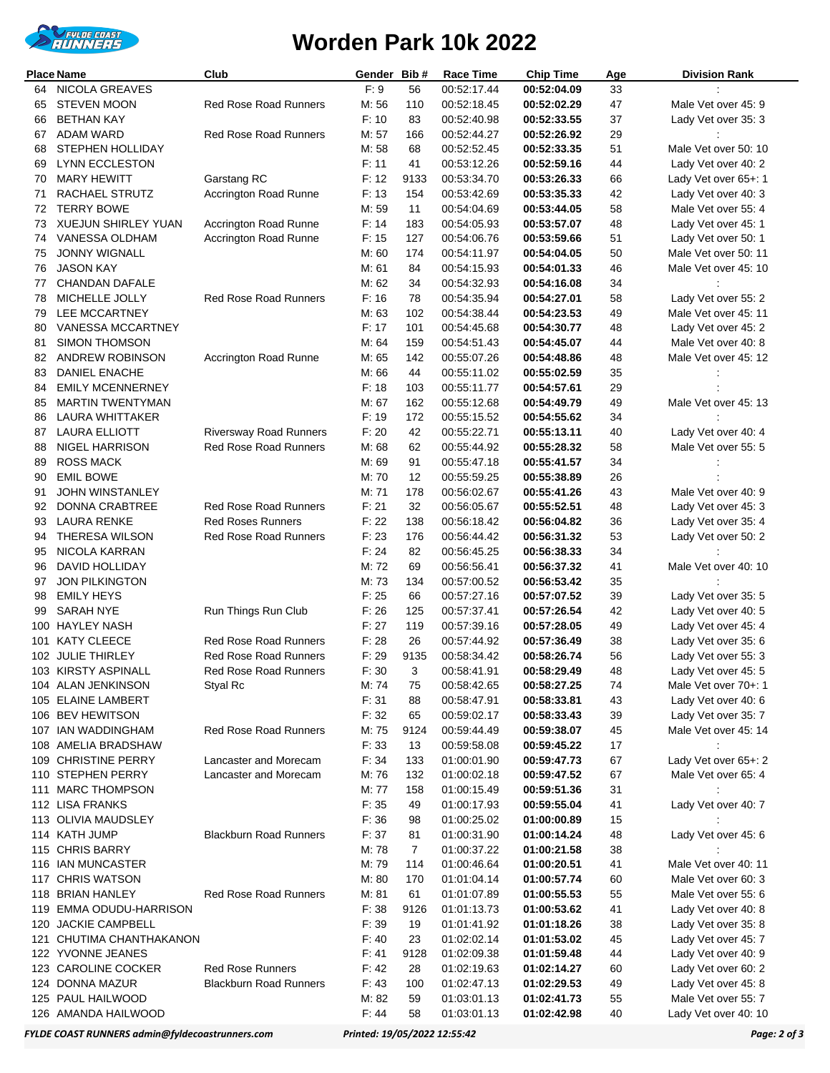

## **Worden Park 10k 2022**

| <b>Place Name</b> |                                            | Club                          | Gender         | Bib#           | <b>Race Time</b>           | <b>Chip Time</b>           | Age      | <b>Division Rank</b>                        |
|-------------------|--------------------------------------------|-------------------------------|----------------|----------------|----------------------------|----------------------------|----------|---------------------------------------------|
| 64                | <b>NICOLA GREAVES</b>                      |                               | F: 9           | 56             | 00:52:17.44                | 00:52:04.09                | 33       |                                             |
| 65                | <b>STEVEN MOON</b>                         | <b>Red Rose Road Runners</b>  | M:56           | 110            | 00:52:18.45                | 00:52:02.29                | 47       | Male Vet over 45: 9                         |
| 66                | <b>BETHAN KAY</b>                          |                               | F: 10          | 83             | 00:52:40.98                | 00:52:33.55                | 37       | Lady Vet over 35: 3                         |
| 67                | <b>ADAM WARD</b>                           | <b>Red Rose Road Runners</b>  | M: 57          | 166            | 00:52:44.27                | 00:52:26.92                | 29       |                                             |
| 68                | STEPHEN HOLLIDAY                           |                               | M: 58          | 68             | 00:52:52.45                | 00:52:33.35                | 51       | Male Vet over 50: 10                        |
| 69                | <b>LYNN ECCLESTON</b>                      |                               | F: 11          | 41             | 00:53:12.26                | 00:52:59.16                | 44       | Lady Vet over 40: 2                         |
| 70                | <b>MARY HEWITT</b>                         | Garstang RC                   | F: 12          | 9133           | 00:53:34.70                | 00:53:26.33                | 66       | Lady Vet over 65+: 1                        |
| 71                | RACHAEL STRUTZ                             | Accrington Road Runne         | F: 13          | 154            | 00:53:42.69                | 00:53:35.33                | 42       | Lady Vet over 40: 3                         |
| 72                | <b>TERRY BOWE</b>                          |                               | M: 59          | 11             | 00:54:04.69                | 00:53:44.05                | 58       | Male Vet over 55: 4                         |
| 73                | <b>XUEJUN SHIRLEY YUAN</b>                 | Accrington Road Runne         | F: 14          | 183            | 00:54:05.93                | 00:53:57.07                | 48       | Lady Vet over 45: 1                         |
| 74                | VANESSA OLDHAM                             | Accrington Road Runne         | F: 15          | 127            | 00:54:06.76                | 00:53:59.66                | 51       | Lady Vet over 50: 1                         |
| 75                | <b>JONNY WIGNALL</b>                       |                               | M: 60          | 174            | 00:54:11.97                | 00:54:04.05                | 50       | Male Vet over 50: 11                        |
| 76                | <b>JASON KAY</b>                           |                               | M: 61          | 84             | 00:54:15.93                | 00:54:01.33                | 46       | Male Vet over 45: 10                        |
| 77                | <b>CHANDAN DAFALE</b>                      |                               | M: 62<br>F: 16 | 34             | 00:54:32.93                | 00:54:16.08                | 34       |                                             |
| 78<br>79          | MICHELLE JOLLY<br>LEE MCCARTNEY            | <b>Red Rose Road Runners</b>  | M: 63          | 78<br>102      | 00:54:35.94                | 00:54:27.01                | 58       | Lady Vet over 55: 2                         |
| 80                | VANESSA MCCARTNEY                          |                               | F: 17          | 101            | 00:54:38.44<br>00:54:45.68 | 00:54:23.53<br>00:54:30.77 | 49<br>48 | Male Vet over 45: 11<br>Lady Vet over 45: 2 |
| 81                | <b>SIMON THOMSON</b>                       |                               | M: 64          | 159            | 00:54:51.43                | 00:54:45.07                | 44       | Male Vet over 40: 8                         |
| 82                | ANDREW ROBINSON                            | Accrington Road Runne         | M: 65          | 142            | 00:55:07.26                | 00:54:48.86                | 48       | Male Vet over 45: 12                        |
| 83                | DANIEL ENACHE                              |                               | M: 66          | 44             | 00:55:11.02                | 00:55:02.59                | 35       |                                             |
| 84                | <b>EMILY MCENNERNEY</b>                    |                               | F: 18          | 103            | 00:55:11.77                | 00:54:57.61                | 29       |                                             |
| 85                | <b>MARTIN TWENTYMAN</b>                    |                               | M: 67          | 162            | 00:55:12.68                | 00:54:49.79                | 49       | Male Vet over 45: 13                        |
| 86                | LAURA WHITTAKER                            |                               | F: 19          | 172            | 00:55:15.52                | 00:54:55.62                | 34       |                                             |
| 87                | <b>LAURA ELLIOTT</b>                       | <b>Riversway Road Runners</b> | F: 20          | 42             | 00:55:22.71                | 00:55:13.11                | 40       | Lady Vet over 40: 4                         |
| 88                | NIGEL HARRISON                             | <b>Red Rose Road Runners</b>  | M: 68          | 62             | 00:55:44.92                | 00:55:28.32                | 58       | Male Vet over 55: 5                         |
| 89                | <b>ROSS MACK</b>                           |                               | M: 69          | 91             | 00:55:47.18                | 00:55:41.57                | 34       |                                             |
| 90                | <b>EMIL BOWE</b>                           |                               | M: 70          | 12             | 00:55:59.25                | 00:55:38.89                | 26       |                                             |
| 91                | <b>JOHN WINSTANLEY</b>                     |                               | M: 71          | 178            | 00:56:02.67                | 00:55:41.26                | 43       | Male Vet over 40: 9                         |
| 92                | DONNA CRABTREE                             | <b>Red Rose Road Runners</b>  | F: 21          | 32             | 00:56:05.67                | 00:55:52.51                | 48       | Lady Vet over 45: 3                         |
| 93                | <b>LAURA RENKE</b>                         | <b>Red Roses Runners</b>      | F: 22          | 138            | 00:56:18.42                | 00:56:04.82                | 36       | Lady Vet over 35: 4                         |
| 94                | <b>THERESA WILSON</b>                      | <b>Red Rose Road Runners</b>  | F: 23          | 176            | 00:56:44.42                | 00:56:31.32                | 53       | Lady Vet over 50: 2                         |
| 95                | NICOLA KARRAN                              |                               | F: 24          | 82             | 00:56:45.25                | 00:56:38.33                | 34       |                                             |
| 96                | DAVID HOLLIDAY                             |                               | M: 72          | 69             | 00:56:56.41                | 00:56:37.32                | 41       | Male Vet over 40: 10                        |
| 97                | <b>JON PILKINGTON</b>                      |                               | M: 73          | 134            | 00:57:00.52                | 00:56:53.42                | 35       |                                             |
| 98                | <b>EMILY HEYS</b>                          |                               | F: 25          | 66             | 00:57:27.16                | 00:57:07.52                | 39       | Lady Vet over 35: 5                         |
| 99                | <b>SARAH NYE</b>                           | Run Things Run Club           | F: 26          | 125            | 00:57:37.41                | 00:57:26.54                | 42       | Lady Vet over 40: 5                         |
| 100               | <b>HAYLEY NASH</b>                         |                               | F: 27          | 119            | 00:57:39.16                | 00:57:28.05                | 49       | Lady Vet over 45: 4                         |
|                   | 101 KATY CLEECE                            | <b>Red Rose Road Runners</b>  | F: 28          | 26             | 00:57:44.92                | 00:57:36.49                | 38       | Lady Vet over 35: 6                         |
|                   | 102 JULIE THIRLEY                          | <b>Red Rose Road Runners</b>  | F: 29          | 9135           | 00:58:34.42                | 00:58:26.74                | 56       | Lady Vet over 55: 3                         |
|                   | 103 KIRSTY ASPINALL                        | Red Rose Road Runners         | F: 30          | 3              | 00:58:41.91                | 00:58:29.49                | 48       | Lady Vet over 45: 5                         |
|                   | 104 ALAN JENKINSON                         | Styal Rc                      | M: 74          | 75             | 00:58:42.65                | 00:58:27.25                | 74       | Male Vet over 70+: 1                        |
|                   | 105 ELAINE LAMBERT                         |                               | F: 31          | 88             | 00:58:47.91                | 00:58:33.81                | 43       | Lady Vet over 40: 6                         |
|                   | 106 BEV HEWITSON                           |                               | F: 32          | 65             | 00:59:02.17                | 00:58:33.43                | 39       | Lady Vet over 35: 7                         |
|                   | 107 IAN WADDINGHAM                         | Red Rose Road Runners         | M: 75          | 9124           | 00:59:44.49                | 00:59:38.07                | 45       | Male Vet over 45: 14                        |
|                   | 108 AMELIA BRADSHAW<br>109 CHRISTINE PERRY | Lancaster and Morecam         | F: 33<br>F: 34 | 13<br>133      | 00:59:58.08                | 00:59:45.22                | 17       |                                             |
|                   | 110 STEPHEN PERRY                          | Lancaster and Morecam         | M: 76          | 132            | 01:00:01.90<br>01:00:02.18 | 00:59:47.73<br>00:59:47.52 | 67<br>67 | Lady Vet over 65+: 2<br>Male Vet over 65: 4 |
|                   | 111 MARC THOMPSON                          |                               | M: 77          | 158            | 01:00:15.49                | 00:59:51.36                | 31       |                                             |
|                   | 112 LISA FRANKS                            |                               | F: 35          | 49             | 01:00:17.93                | 00:59:55.04                | 41       | Lady Vet over 40: 7                         |
|                   | 113 OLIVIA MAUDSLEY                        |                               | F: 36          | 98             | 01:00:25.02                | 01:00:00.89                | 15       |                                             |
|                   | 114 KATH JUMP                              | <b>Blackburn Road Runners</b> | F: 37          | 81             | 01:00:31.90                | 01:00:14.24                | 48       | Lady Vet over 45: 6                         |
|                   | 115 CHRIS BARRY                            |                               | M: 78          | $\overline{7}$ | 01:00:37.22                | 01:00:21.58                | 38       |                                             |
|                   | 116 IAN MUNCASTER                          |                               | M: 79          | 114            | 01:00:46.64                | 01:00:20.51                | 41       | Male Vet over 40: 11                        |
|                   | 117 CHRIS WATSON                           |                               | M: 80          | 170            | 01:01:04.14                | 01:00:57.74                | 60       | Male Vet over 60: 3                         |
|                   | 118 BRIAN HANLEY                           | <b>Red Rose Road Runners</b>  | M: 81          | 61             | 01:01:07.89                | 01:00:55.53                | 55       | Male Vet over 55: 6                         |
|                   | 119 EMMA ODUDU-HARRISON                    |                               | F: 38          | 9126           | 01:01:13.73                | 01:00:53.62                | 41       | Lady Vet over 40: 8                         |
|                   | 120 JACKIE CAMPBELL                        |                               | F: 39          | 19             | 01:01:41.92                | 01:01:18.26                | 38       | Lady Vet over 35: 8                         |
|                   | 121 CHUTIMA CHANTHAKANON                   |                               | F: 40          | 23             | 01:02:02.14                | 01:01:53.02                | 45       | Lady Vet over 45: 7                         |
|                   | 122 YVONNE JEANES                          |                               | F: 41          | 9128           | 01:02:09.38                | 01:01:59.48                | 44       | Lady Vet over 40: 9                         |
|                   | 123 CAROLINE COCKER                        | <b>Red Rose Runners</b>       | F: 42          | 28             | 01:02:19.63                | 01:02:14.27                | 60       | Lady Vet over 60: 2                         |
|                   | 124 DONNA MAZUR                            | <b>Blackburn Road Runners</b> | F: 43          | 100            | 01:02:47.13                | 01:02:29.53                | 49       | Lady Vet over 45: 8                         |
|                   | 125 PAUL HAILWOOD                          |                               | M: 82          | 59             | 01:03:01.13                | 01:02:41.73                | 55       | Male Vet over 55: 7                         |
|                   | 126 AMANDA HAILWOOD                        |                               | F: 44          | 58             | 01:03:01.13                | 01:02:42.98                | 40       | Lady Vet over 40: 10                        |

*FYLDE COAST RUNNERS admin@fyldecoastrunners.com Printed: 19/05/2022 12:55:42 Page: 2 of 3*